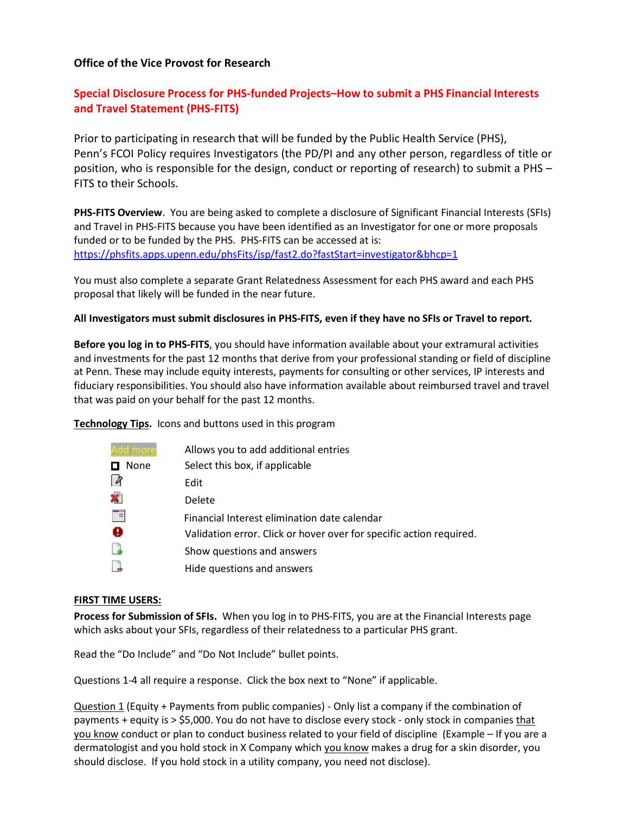## **Office of the Vice Provost for Research**

# **Special Disclosure Process for PHS-funded Projects–How to submit a PHS Financial Interests and Travel Statement (PHS-FITS)**

Prior to participating in research that will be funded by the Public Health Service (PHS), Penn's FCOI Policy requires Investigators (the PD/PI and any other person, regardless of title or position, who is responsible for the design, conduct or reporting of research) to submit a PHS – FITS to their Schools.

**PHS-FITS Overview**. You are being asked to complete a disclosure of Significant Financial Interests (SFIs) and Travel in PHS-FITS because you have been identified as an Investigator for one or more proposals funded or to be funded by the PHS. PHS-FITS can be accessed at is: <https://phsfits.apps.upenn.edu/phsFits/jsp/fast2.do?fastStart=investigator&bhcp=1>

You must also complete a separate Grant Relatedness Assessment for each PHS award and each PHS proposal that likely will be funded in the near future.

#### **All Investigators must submit disclosures in PHS-FITS, even if they have no SFIs or Travel to report.**

**Before you log in to PHS-FITS**, you should have information available about your extramural activities and investments for the past 12 months that derive from your professional standing or field of discipline at Penn. These may include equity interests, payments for consulting or other services, IP interests and fiduciary responsibilities. You should also have information available about reimbursed travel and travel that was paid on your behalf for the past 12 months.

**Technology Tips.** Icons and buttons used in this program

| Allows you to add additional entries                                |
|---------------------------------------------------------------------|
| Select this box, if applicable                                      |
| Edit                                                                |
| Delete                                                              |
| Financial Interest elimination date calendar                        |
| Validation error. Click or hover over for specific action required. |
| Show questions and answers                                          |
| Hide questions and answers                                          |
|                                                                     |

#### **FIRST TIME USERS:**

**Process for Submission of SFIs.** When you log in to PHS-FITS, you are at the Financial Interests page which asks about your SFIs, regardless of their relatedness to a particular PHS grant.

Read the "Do Include" and "Do Not Include" bullet points.

Questions 1-4 all require a response. Click the box next to "None" if applicable.

Question 1 (Equity + Payments from public companies) - Only list a company if the combination of payments + equity is > \$5,000. You do not have to disclose every stock - only stock in companies that you know conduct or plan to conduct business related to your field of discipline (Example – If you are a dermatologist and you hold stock in X Company which you know makes a drug for a skin disorder, you should disclose. If you hold stock in a utility company, you need not disclose).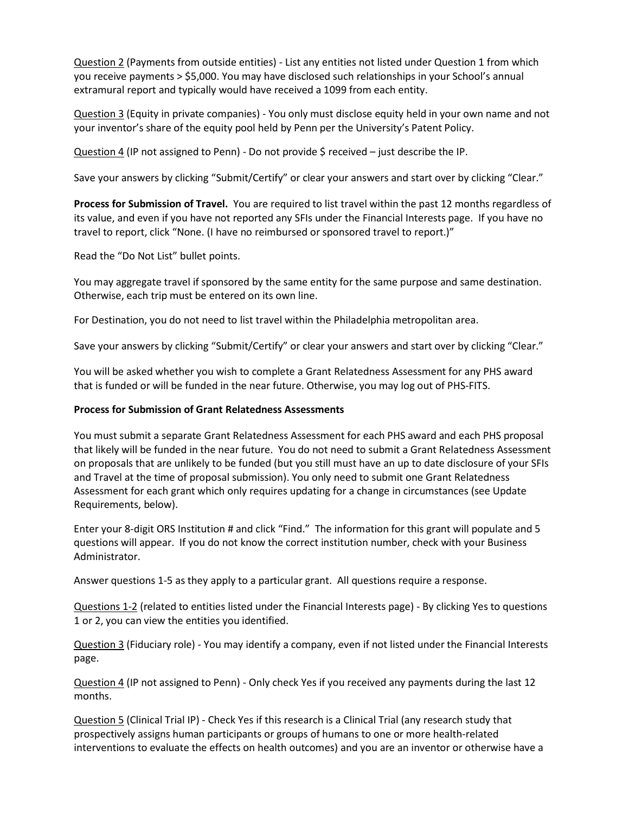Question 2 (Payments from outside entities) - List any entities not listed under Question 1 from which you receive payments > \$5,000. You may have disclosed such relationships in your School's annual extramural report and typically would have received a 1099 from each entity.

Question 3 (Equity in private companies) - You only must disclose equity held in your own name and not your inventor's share of the equity pool held by Penn per the University's Patent Policy.

Question 4 (IP not assigned to Penn) - Do not provide \$ received – just describe the IP.

Save your answers by clicking "Submit/Certify" or clear your answers and start over by clicking "Clear."

**Process for Submission of Travel.** You are required to list travel within the past 12 months regardless of its value, and even if you have not reported any SFIs under the Financial Interests page. If you have no travel to report, click "None. (I have no reimbursed or sponsored travel to report.)"

Read the "Do Not List" bullet points.

You may aggregate travel if sponsored by the same entity for the same purpose and same destination. Otherwise, each trip must be entered on its own line.

For Destination, you do not need to list travel within the Philadelphia metropolitan area.

Save your answers by clicking "Submit/Certify" or clear your answers and start over by clicking "Clear."

You will be asked whether you wish to complete a Grant Relatedness Assessment for any PHS award that is funded or will be funded in the near future. Otherwise, you may log out of PHS-FITS.

## **Process for Submission of Grant Relatedness Assessments**

You must submit a separate Grant Relatedness Assessment for each PHS award and each PHS proposal that likely will be funded in the near future. You do not need to submit a Grant Relatedness Assessment on proposals that are unlikely to be funded (but you still must have an up to date disclosure of your SFIs and Travel at the time of proposal submission). You only need to submit one Grant Relatedness Assessment for each grant which only requires updating for a change in circumstances (see Update Requirements, below).

Enter your 8-digit ORS Institution # and click "Find." The information for this grant will populate and 5 questions will appear. If you do not know the correct institution number, check with your Business Administrator.

Answer questions 1-5 as they apply to a particular grant. All questions require a response.

Questions 1-2 (related to entities listed under the Financial Interests page) - By clicking Yes to questions 1 or 2, you can view the entities you identified.

Question 3 (Fiduciary role) - You may identify a company, even if not listed under the Financial Interests page.

Question 4 (IP not assigned to Penn) - Only check Yes if you received any payments during the last 12 months.

Question 5 (Clinical Trial IP) - Check Yes if this research is a Clinical Trial (any research study that prospectively assigns human participants or groups of humans to one or more health-related interventions to evaluate the effects on health outcomes) and you are an inventor or otherwise have a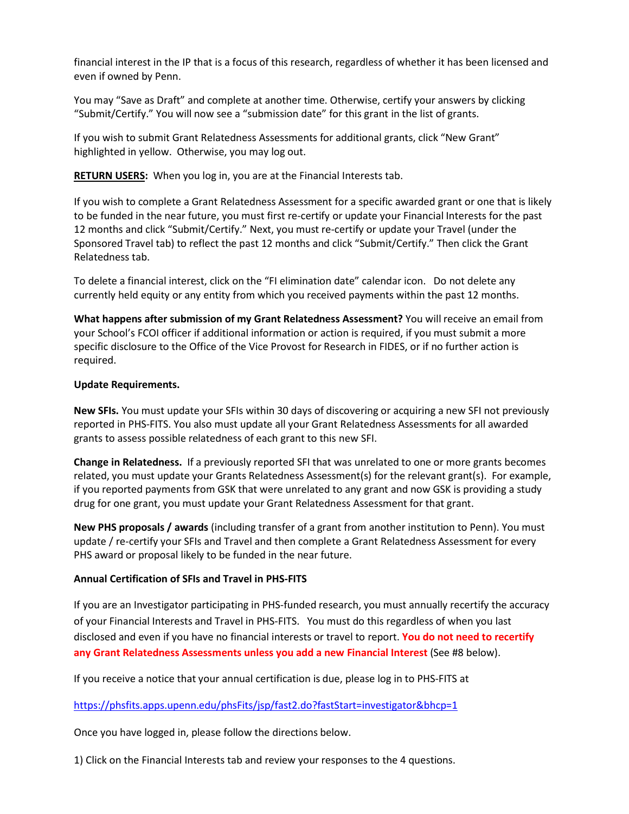financial interest in the IP that is a focus of this research, regardless of whether it has been licensed and even if owned by Penn.

You may "Save as Draft" and complete at another time. Otherwise, certify your answers by clicking "Submit/Certify." You will now see a "submission date" for this grant in the list of grants.

If you wish to submit Grant Relatedness Assessments for additional grants, click "New Grant" highlighted in yellow. Otherwise, you may log out.

**RETURN USERS:** When you log in, you are at the Financial Interests tab.

If you wish to complete a Grant Relatedness Assessment for a specific awarded grant or one that is likely to be funded in the near future, you must first re-certify or update your Financial Interests for the past 12 months and click "Submit/Certify." Next, you must re-certify or update your Travel (under the Sponsored Travel tab) to reflect the past 12 months and click "Submit/Certify." Then click the Grant Relatedness tab.

To delete a financial interest, click on the "FI elimination date" calendar icon. Do not delete any currently held equity or any entity from which you received payments within the past 12 months.

**What happens after submission of my Grant Relatedness Assessment?** You will receive an email from your School's FCOI officer if additional information or action is required, if you must submit a more specific disclosure to the Office of the Vice Provost for Research in FIDES, or if no further action is required.

## **Update Requirements.**

**New SFIs.** You must update your SFIs within 30 days of discovering or acquiring a new SFI not previously reported in PHS-FITS. You also must update all your Grant Relatedness Assessments for all awarded grants to assess possible relatedness of each grant to this new SFI.

**Change in Relatedness.** If a previously reported SFI that was unrelated to one or more grants becomes related, you must update your Grants Relatedness Assessment(s) for the relevant grant(s). For example, if you reported payments from GSK that were unrelated to any grant and now GSK is providing a study drug for one grant, you must update your Grant Relatedness Assessment for that grant.

**New PHS proposals / awards** (including transfer of a grant from another institution to Penn). You must update / re-certify your SFIs and Travel and then complete a Grant Relatedness Assessment for every PHS award or proposal likely to be funded in the near future.

## **Annual Certification of SFIs and Travel in PHS-FITS**

If you are an Investigator participating in PHS-funded research, you must annually recertify the accuracy of your Financial Interests and Travel in PHS-FITS. You must do this regardless of when you last disclosed and even if you have no financial interests or travel to report. **You do not need to recertify any Grant Relatedness Assessments unless you add a new Financial Interest** (See #8 below).

If you receive a notice that your annual certification is due, please log in to PHS-FITS at

<https://phsfits.apps.upenn.edu/phsFits/jsp/fast2.do?fastStart=investigator&bhcp=1>

Once you have logged in, please follow the directions below.

1) Click on the Financial Interests tab and review your responses to the 4 questions.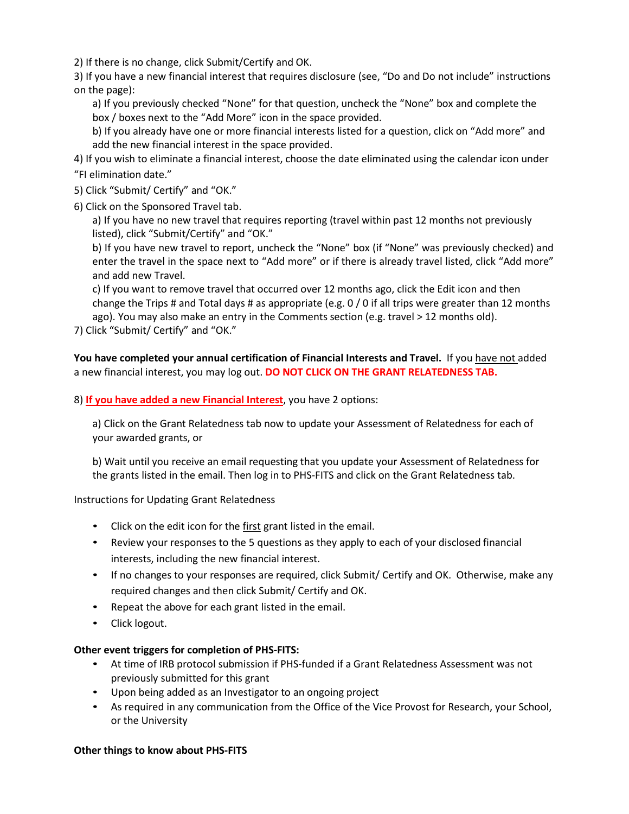2) If there is no change, click Submit/Certify and OK.

3) If you have a new financial interest that requires disclosure (see, "Do and Do not include" instructions on the page):

a) If you previously checked "None" for that question, uncheck the "None" box and complete the box / boxes next to the "Add More" icon in the space provided.

b) If you already have one or more financial interests listed for a question, click on "Add more" and add the new financial interest in the space provided.

4) If you wish to eliminate a financial interest, choose the date eliminated using the calendar icon under "FI elimination date."

5) Click "Submit/ Certify" and "OK."

6) Click on the Sponsored Travel tab.

a) If you have no new travel that requires reporting (travel within past 12 months not previously listed), click "Submit/Certify" and "OK."

b) If you have new travel to report, uncheck the "None" box (if "None" was previously checked) and enter the travel in the space next to "Add more" or if there is already travel listed, click "Add more" and add new Travel.

c) If you want to remove travel that occurred over 12 months ago, click the Edit icon and then change the Trips # and Total days # as appropriate (e.g. 0 / 0 if all trips were greater than 12 months ago). You may also make an entry in the Comments section (e.g. travel > 12 months old).

7) Click "Submit/ Certify" and "OK."

**You have completed your annual certification of Financial Interests and Travel.** If you have not added a new financial interest, you may log out. **DO NOT CLICK ON THE GRANT RELATEDNESS TAB.**

8) **If you have added a new Financial Interest**, you have 2 options:

a) Click on the Grant Relatedness tab now to update your Assessment of Relatedness for each of your awarded grants, or

b) Wait until you receive an email requesting that you update your Assessment of Relatedness for the grants listed in the email. Then log in to PHS-FITS and click on the Grant Relatedness tab.

Instructions for Updating Grant Relatedness

- Click on the edit icon for the first grant listed in the email.
- Review your responses to the 5 questions as they apply to each of your disclosed financial interests, including the new financial interest.
- If no changes to your responses are required, click Submit/ Certify and OK. Otherwise, make any required changes and then click Submit/ Certify and OK.
- Repeat the above for each grant listed in the email.
- Click logout.

## **Other event triggers for completion of PHS-FITS:**

- At time of IRB protocol submission if PHS-funded if a Grant Relatedness Assessment was not previously submitted for this grant
- Upon being added as an Investigator to an ongoing project
- As required in any communication from the Office of the Vice Provost for Research, your School, or the University

#### **Other things to know about PHS-FITS**